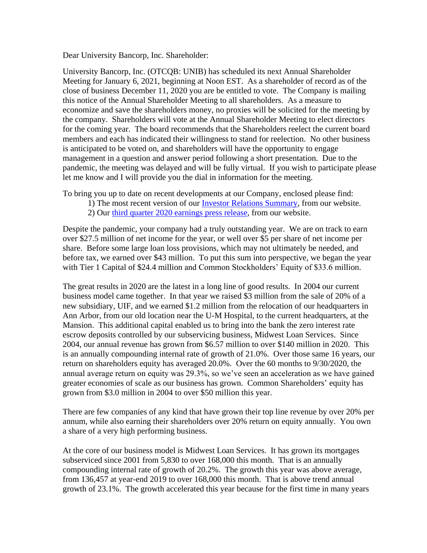Dear University Bancorp, Inc. Shareholder:

University Bancorp, Inc. (OTCQB: UNIB) has scheduled its next Annual Shareholder Meeting for January 6, 2021, beginning at Noon EST. As a shareholder of record as of the close of business December 11, 2020 you are be entitled to vote. The Company is mailing this notice of the Annual Shareholder Meeting to all shareholders. As a measure to economize and save the shareholders money, no proxies will be solicited for the meeting by the company. Shareholders will vote at the Annual Shareholder Meeting to elect directors for the coming year. The board recommends that the Shareholders reelect the current board members and each has indicated their willingness to stand for reelection. No other business is anticipated to be voted on, and shareholders will have the opportunity to engage management in a question and answer period following a short presentation. Due to the pandemic, the meeting was delayed and will be fully virtual. If you wish to participate please let me know and I will provide you the dial in information for the meeting.

To bring you up to date on recent developments at our Company, enclosed please find:

- 1) The most recent version of our *Investor Relations Summary*, from our website.
	- 2) Our [third quarter 2020 earnings press release,](https://www.university-bank.com/2020/11/10/university-bancorp-3q2020-net-income-11483780-2-21-per-share-record-profits-revenue/) from our website.

Despite the pandemic, your company had a truly outstanding year. We are on track to earn over \$27.5 million of net income for the year, or well over \$5 per share of net income per share. Before some large loan loss provisions, which may not ultimately be needed, and before tax, we earned over \$43 million. To put this sum into perspective, we began the year with Tier 1 Capital of \$24.4 million and Common Stockholders' Equity of \$33.6 million.

The great results in 2020 are the latest in a long line of good results. In 2004 our current business model came together. In that year we raised \$3 million from the sale of 20% of a new subsidiary, UIF, and we earned \$1.2 million from the relocation of our headquarters in Ann Arbor, from our old location near the U-M Hospital, to the current headquarters, at the Mansion. This additional capital enabled us to bring into the bank the zero interest rate escrow deposits controlled by our subservicing business, Midwest Loan Services. Since 2004, our annual revenue has grown from \$6.57 million to over \$140 million in 2020. This is an annually compounding internal rate of growth of 21.0%. Over those same 16 years, our return on shareholders equity has averaged 20.0%. Over the 60 months to 9/30/2020, the annual average return on equity was 29.3%, so we've seen an acceleration as we have gained greater economies of scale as our business has grown. Common Shareholders' equity has grown from \$3.0 million in 2004 to over \$50 million this year.

There are few companies of any kind that have grown their top line revenue by over 20% per annum, while also earning their shareholders over 20% return on equity annually. You own a share of a very high performing business.

At the core of our business model is Midwest Loan Services. It has grown its mortgages subserviced since 2001 from 5,830 to over 168,000 this month. That is an annually compounding internal rate of growth of 20.2%. The growth this year was above average, from 136,457 at year-end 2019 to over 168,000 this month. That is above trend annual growth of 23.1%. The growth accelerated this year because for the first time in many years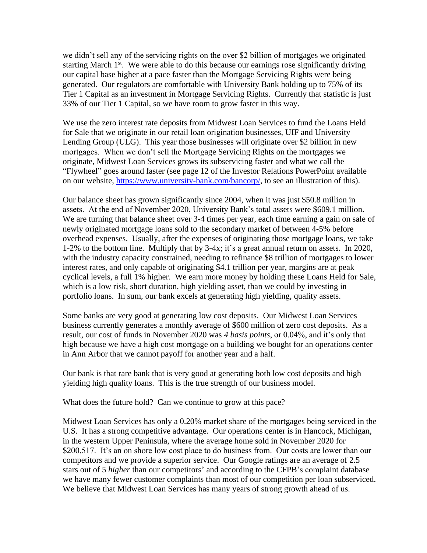we didn't sell any of the servicing rights on the over \$2 billion of mortgages we originated starting March  $1<sup>st</sup>$ . We were able to do this because our earnings rose significantly driving our capital base higher at a pace faster than the Mortgage Servicing Rights were being generated. Our regulators are comfortable with University Bank holding up to 75% of its Tier 1 Capital as an investment in Mortgage Servicing Rights. Currently that statistic is just 33% of our Tier 1 Capital, so we have room to grow faster in this way.

We use the zero interest rate deposits from Midwest Loan Services to fund the Loans Held for Sale that we originate in our retail loan origination businesses, UIF and University Lending Group (ULG). This year those businesses will originate over \$2 billion in new mortgages. When we don't sell the Mortgage Servicing Rights on the mortgages we originate, Midwest Loan Services grows its subservicing faster and what we call the "Flywheel" goes around faster (see page 12 of the Investor Relations PowerPoint available on our website, [https://www.university-bank.com/bancorp/,](https://www.university-bank.com/bancorp/) to see an illustration of this).

Our balance sheet has grown significantly since 2004, when it was just \$50.8 million in assets. At the end of November 2020, University Bank's total assets were \$609.1 million. We are turning that balance sheet over 3-4 times per year, each time earning a gain on sale of newly originated mortgage loans sold to the secondary market of between 4-5% before overhead expenses. Usually, after the expenses of originating those mortgage loans, we take 1-2% to the bottom line. Multiply that by 3-4x; it's a great annual return on assets. In 2020, with the industry capacity constrained, needing to refinance \$8 trillion of mortgages to lower interest rates, and only capable of originating \$4.1 trillion per year, margins are at peak cyclical levels, a full 1% higher. We earn more money by holding these Loans Held for Sale, which is a low risk, short duration, high yielding asset, than we could by investing in portfolio loans. In sum, our bank excels at generating high yielding, quality assets.

Some banks are very good at generating low cost deposits. Our Midwest Loan Services business currently generates a monthly average of \$600 million of zero cost deposits. As a result, our cost of funds in November 2020 was *4 basis points*, or 0.04%, and it's only that high because we have a high cost mortgage on a building we bought for an operations center in Ann Arbor that we cannot payoff for another year and a half.

Our bank is that rare bank that is very good at generating both low cost deposits and high yielding high quality loans. This is the true strength of our business model.

What does the future hold? Can we continue to grow at this pace?

Midwest Loan Services has only a 0.20% market share of the mortgages being serviced in the U.S. It has a strong competitive advantage. Our operations center is in Hancock, Michigan, in the western Upper Peninsula, where the average home sold in November 2020 for \$200,517. It's an on shore low cost place to do business from. Our costs are lower than our competitors and we provide a superior service. Our Google ratings are an average of 2.5 stars out of 5 *higher* than our competitors' and according to the CFPB's complaint database we have many fewer customer complaints than most of our competition per loan subserviced. We believe that Midwest Loan Services has many years of strong growth ahead of us.